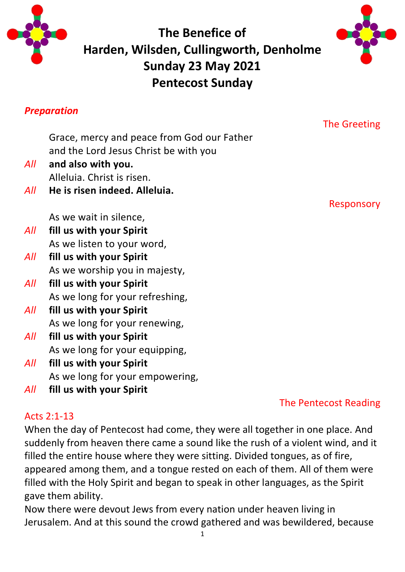

**The Benefice of Harden, Wilsden, Cullingworth, Denholme Sunday 23 May 2021 Pentecost Sunday**



#### *Preparation*

## The Greeting

Responsory

Grace, mercy and peace from God our Father and the Lord Jesus Christ be with you

- *All* **and also with you.** Alleluia. Christ is risen.
- *All* **He is risen indeed. Alleluia.**

As we wait in silence,

- *All* **fill us with your Spirit** As we listen to your word,
- *All* **fill us with your Spirit** As we worship you in majesty,
- *All* **fill us with your Spirit** As we long for your refreshing,
- *All* **fill us with your Spirit** As we long for your renewing,
- *All* **fill us with your Spirit** As we long for your equipping,
- *All* **fill us with your Spirit** As we long for your empowering,
- *All* **fill us with your Spirit**

## The Pentecost Reading

## Acts 2:1-13

When the day of Pentecost had come, they were all together in one place. And suddenly from heaven there came a sound like the rush of a violent wind, and it filled the entire house where they were sitting. Divided tongues, as of fire, appeared among them, and a tongue rested on each of them. All of them were filled with the Holy Spirit and began to speak in other languages, as the Spirit gave them ability.

Now there were devout Jews from every nation under heaven living in Jerusalem. And at this sound the crowd gathered and was bewildered, because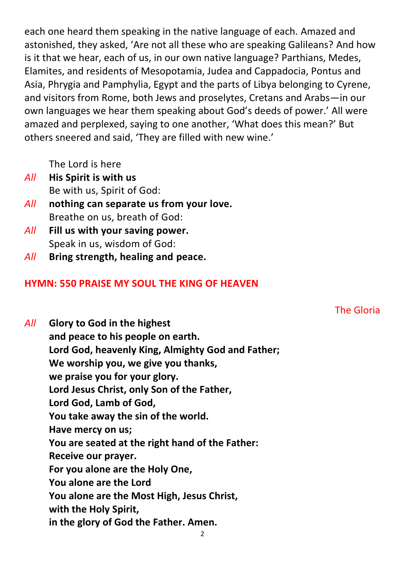each one heard them speaking in the native language of each. Amazed and astonished, they asked, 'Are not all these who are speaking Galileans? And how is it that we hear, each of us, in our own native language? Parthians, Medes, Elamites, and residents of Mesopotamia, Judea and Cappadocia, Pontus and Asia, Phrygia and Pamphylia, Egypt and the parts of Libya belonging to Cyrene, and visitors from Rome, both Jews and proselytes, Cretans and Arabs—in our own languages we hear them speaking about God's deeds of power.' All were amazed and perplexed, saying to one another, 'What does this mean?' But others sneered and said, 'They are filled with new wine.'

The Lord is here

- *All* **His Spirit is with us** Be with us, Spirit of God:
- *All* **nothing can separate us from your love.** Breathe on us, breath of God:
- *All* **Fill us with your saving power.** Speak in us, wisdom of God:
- *All* **Bring strength, healing and peace.**

#### **HYMN: 550 PRAISE MY SOUL THE KING OF HEAVEN**

*All* **Glory to God in the highest and peace to his people on earth. Lord God, heavenly King, Almighty God and Father; We worship you, we give you thanks, we praise you for your glory. Lord Jesus Christ, only Son of the Father, Lord God, Lamb of God, You take away the sin of the world. Have mercy on us; You are seated at the right hand of the Father: Receive our prayer. For you alone are the Holy One, You alone are the Lord You alone are the Most High, Jesus Christ, with the Holy Spirit, in the glory of God the Father. Amen.**

The Gloria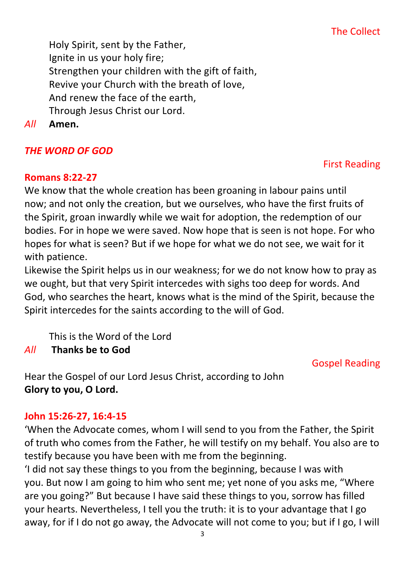## The Collect

Holy Spirit, sent by the Father, Ignite in us your holy fire; Strengthen your children with the gift of faith, Revive your Church with the breath of love, And renew the face of the earth, Through Jesus Christ our Lord.

*All* **Amen.**

## *THE WORD OF GOD*

#### **Romans 8:22-27**

We know that the whole creation has been groaning in labour pains until now; and not only the creation, but we ourselves, who have the first fruits of the Spirit, groan inwardly while we wait for adoption, the redemption of our bodies. For in hope we were saved. Now hope that is seen is not hope. For who hopes for what is seen? But if we hope for what we do not see, we wait for it with patience.

Likewise the Spirit helps us in our weakness; for we do not know how to pray as we ought, but that very Spirit intercedes with sighs too deep for words. And God, who searches the heart, knows what is the mind of the Spirit, because the Spirit intercedes for the saints according to the will of God.

This is the Word of the Lord

*All* **Thanks be to God**

## Gospel Reading

Hear the Gospel of our Lord Jesus Christ, according to John **Glory to you, O Lord.**

## **John 15:26-27, 16:4-15**

'When the Advocate comes, whom I will send to you from the Father, the Spirit of truth who comes from the Father, he will testify on my behalf. You also are to testify because you have been with me from the beginning.

'I did not say these things to you from the beginning, because I was with you. But now I am going to him who sent me; yet none of you asks me, "Where are you going?" But because I have said these things to you, sorrow has filled your hearts. Nevertheless, I tell you the truth: it is to your advantage that I go away, for if I do not go away, the Advocate will not come to you; but if I go, I will

#### First Reading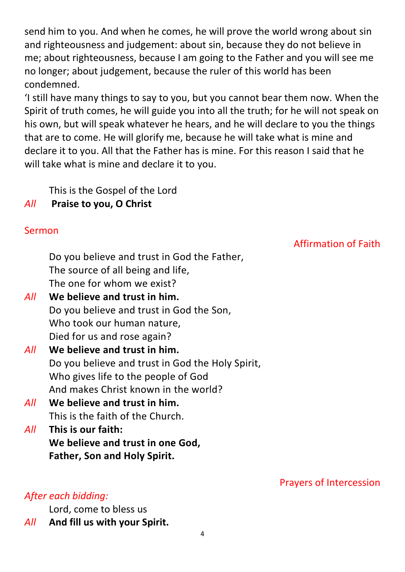send him to you. And when he comes, he will prove the world wrong about sin and righteousness and judgement: about sin, because they do not believe in me; about righteousness, because I am going to the Father and you will see me no longer; about judgement, because the ruler of this world has been condemned.

'I still have many things to say to you, but you cannot bear them now. When the Spirit of truth comes, he will guide you into all the truth; for he will not speak on his own, but will speak whatever he hears, and he will declare to you the things that are to come. He will glorify me, because he will take what is mine and declare it to you. All that the Father has is mine. For this reason I said that he will take what is mine and declare it to you.

This is the Gospel of the Lord

## *All* **Praise to you, O Christ**

## Sermon

Affirmation of Faith

Prayers of Intercession

Do you believe and trust in God the Father, The source of all being and life, The one for whom we exist?

- *All* **We believe and trust in him.** Do you believe and trust in God the Son, Who took our human nature, Died for us and rose again?
- *All* **We believe and trust in him.** Do you believe and trust in God the Holy Spirit, Who gives life to the people of God And makes Christ known in the world?
- *All* **We believe and trust in him.** This is the faith of the Church.
- *All* **This is our faith: We believe and trust in one God, Father, Son and Holy Spirit.**

## *After each bidding:*

Lord, come to bless us

*All* **And fill us with your Spirit.**

4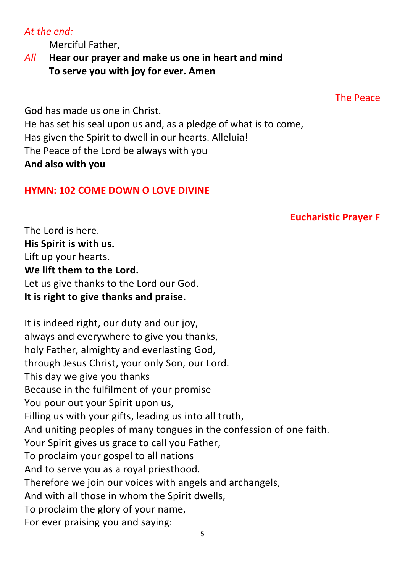#### *At the end:*

Merciful Father,

*All* **Hear our prayer and make us one in heart and mind To serve you with joy for ever. Amen**

The Peace

God has made us one in Christ. He has set his seal upon us and, as a pledge of what is to come, Has given the Spirit to dwell in our hearts. Alleluia! The Peace of the Lord be always with you **And also with you**

#### **HYMN: 102 COME DOWN O LOVE DIVINE**

#### **Eucharistic Prayer F**

The Lord is here. **His Spirit is with us.** Lift up your hearts. **We lift them to the Lord.** Let us give thanks to the Lord our God. **It is right to give thanks and praise.**

It is indeed right, our duty and our joy, always and everywhere to give you thanks, holy Father, almighty and everlasting God, through Jesus Christ, your only Son, our Lord. This day we give you thanks Because in the fulfilment of your promise You pour out your Spirit upon us, Filling us with your gifts, leading us into all truth, And uniting peoples of many tongues in the confession of one faith. Your Spirit gives us grace to call you Father, To proclaim your gospel to all nations And to serve you as a royal priesthood. Therefore we join our voices with angels and archangels, And with all those in whom the Spirit dwells, To proclaim the glory of your name, For ever praising you and saying: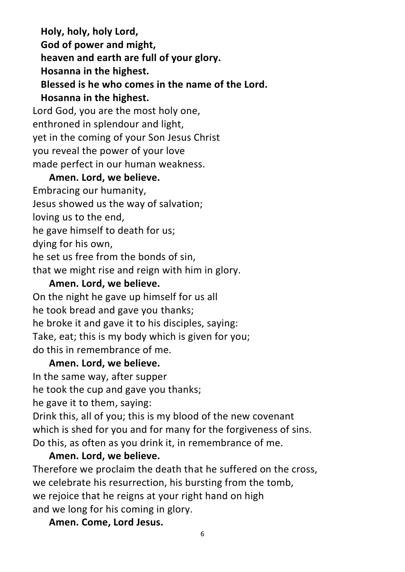**Holy, holy, holy Lord, God of power and might, heaven and earth are full of your glory. Hosanna in the highest. Blessed is he who comes in the name of the Lord. Hosanna in the highest.** Lord God, you are the most holy one, enthroned in splendour and light, yet in the coming of your Son Jesus Christ

you reveal the power of your love

made perfect in our human weakness.

## **Amen. Lord, we believe.**

Embracing our humanity, Jesus showed us the way of salvation; loving us to the end, he gave himself to death for us; dying for his own, he set us free from the bonds of sin, that we might rise and reign with him in glory.

#### **Amen. Lord, we believe.**

On the night he gave up himself for us all he took bread and gave you thanks; he broke it and gave it to his disciples, saying: Take, eat; this is my body which is given for you; do this in remembrance of me.

#### **Amen. Lord, we believe.**

In the same way, after supper he took the cup and gave you thanks; he gave it to them, saying: Drink this, all of you; this is my blood of the new covenant which is shed for you and for many for the forgiveness of sins. Do this, as often as you drink it, in remembrance of me.

#### **Amen. Lord, we believe.**

Therefore we proclaim the death that he suffered on the cross, we celebrate his resurrection, his bursting from the tomb, we rejoice that he reigns at your right hand on high and we long for his coming in glory.

**Amen. Come, Lord Jesus.**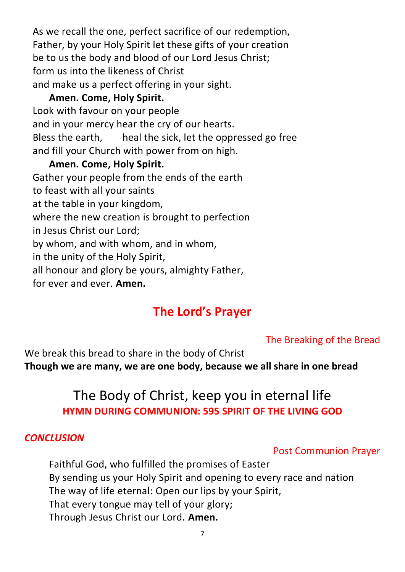As we recall the one, perfect sacrifice of our redemption, Father, by your Holy Spirit let these gifts of your creation be to us the body and blood of our Lord Jesus Christ; form us into the likeness of Christ and make us a perfect offering in your sight.

## **Amen. Come, Holy Spirit.**

Look with favour on your people and in your mercy hear the cry of our hearts. Bless the earth, heal the sick, let the oppressed go free and fill your Church with power from on high.

## **Amen. Come, Holy Spirit.**

Gather your people from the ends of the earth

to feast with all your saints

at the table in your kingdom,

where the new creation is brought to perfection

in Jesus Christ our Lord;

by whom, and with whom, and in whom,

in the unity of the Holy Spirit,

all honour and glory be yours, almighty Father,

for ever and ever. **Amen.**

# **The Lord's Prayer**

## The Breaking of the Bread

We break this bread to share in the body of Christ **Though we are many, we are one body, because we all share in one bread**

# The Body of Christ, keep you in eternal life **HYMN DURING COMMUNION: 595 SPIRIT OF THE LIVING GOD**

#### *CONCLUSION*

## Post Communion Prayer

Faithful God, who fulfilled the promises of Easter By sending us your Holy Spirit and opening to every race and nation The way of life eternal: Open our lips by your Spirit, That every tongue may tell of your glory; Through Jesus Christ our Lord. **Amen.**